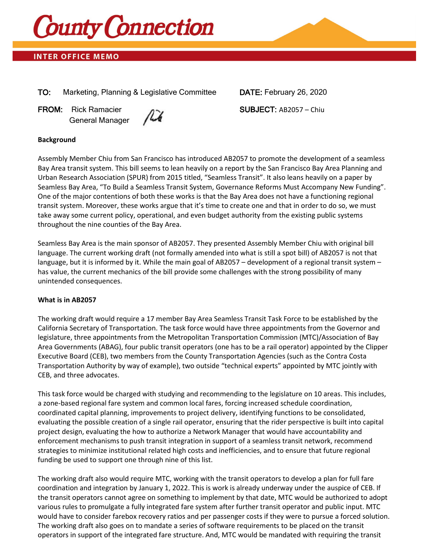

# **INTER OFFICE MEMO**

TO: Marketing, Planning & Legislative Committee DATE: February 26, 2020

FROM: Rick Ramacier 2008 SUBJECT: AB2057 – Chiu General Manager

## **Background**

Assembly Member Chiu from San Francisco has introduced AB2057 to promote the development of a seamless Bay Area transit system. This bill seems to lean heavily on a report by the San Francisco Bay Area Planning and Urban Research Association (SPUR) from 2015 titled, "Seamless Transit". It also leans heavily on a paper by Seamless Bay Area, "To Build a Seamless Transit System, Governance Reforms Must Accompany New Funding". One of the major contentions of both these works is that the Bay Area does not have a functioning regional transit system. Moreover, these works argue that it's time to create one and that in order to do so, we must take away some current policy, operational, and even budget authority from the existing public systems throughout the nine counties of the Bay Area.

Seamless Bay Area is the main sponsor of AB2057. They presented Assembly Member Chiu with original bill language. The current working draft (not formally amended into what is still a spot bill) of AB2057 is not that language, but it is informed by it. While the main goal of AB2057 – development of a regional transit system – has value, the current mechanics of the bill provide some challenges with the strong possibility of many unintended consequences.

#### **What is in AB2057**

The working draft would require a 17 member Bay Area Seamless Transit Task Force to be established by the California Secretary of Transportation. The task force would have three appointments from the Governor and legislature, three appointments from the Metropolitan Transportation Commission (MTC)/Association of Bay Area Governments (ABAG), four public transit operators (one has to be a rail operator) appointed by the Clipper Executive Board (CEB), two members from the County Transportation Agencies (such as the Contra Costa Transportation Authority by way of example), two outside "technical experts" appointed by MTC jointly with CEB, and three advocates.

This task force would be charged with studying and recommending to the legislature on 10 areas. This includes, a zone-based regional fare system and common local fares, forcing increased schedule coordination, coordinated capital planning, improvements to project delivery, identifying functions to be consolidated, evaluating the possible creation of a single rail operator, ensuring that the rider perspective is built into capital project design, evaluating the how to authorize a Network Manager that would have accountability and enforcement mechanisms to push transit integration in support of a seamless transit network, recommend strategies to minimize institutional related high costs and inefficiencies, and to ensure that future regional funding be used to support one through nine of this list.

The working draft also would require MTC, working with the transit operators to develop a plan for full fare coordination and integration by January 1, 2022. This is work is already underway under the auspice of CEB. If the transit operators cannot agree on something to implement by that date, MTC would be authorized to adopt various rules to promulgate a fully integrated fare system after further transit operator and public input. MTC would have to consider farebox recovery ratios and per passenger costs if they were to pursue a forced solution. The working draft also goes on to mandate a series of software requirements to be placed on the transit operators in support of the integrated fare structure. And, MTC would be mandated with requiring the transit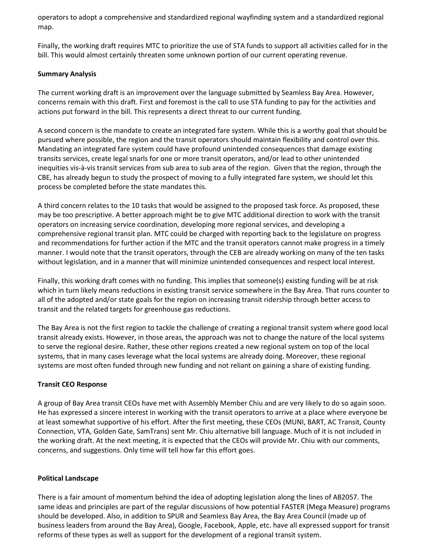operators to adopt a comprehensive and standardized regional wayfinding system and a standardized regional map.

Finally, the working draft requires MTC to prioritize the use of STA funds to support all activities called for in the bill. This would almost certainly threaten some unknown portion of our current operating revenue.

### **Summary Analysis**

The current working draft is an improvement over the language submitted by Seamless Bay Area. However, concerns remain with this draft. First and foremost is the call to use STA funding to pay for the activities and actions put forward in the bill. This represents a direct threat to our current funding.

A second concern is the mandate to create an integrated fare system. While this is a worthy goal that should be pursued where possible, the region and the transit operators should maintain flexibility and control over this. Mandating an integrated fare system could have profound unintended consequences that damage existing transits services, create legal snarls for one or more transit operators, and/or lead to other unintended inequities vis-à-vis transit services from sub area to sub area of the region. Given that the region, through the CBE, has already begun to study the prospect of moving to a fully integrated fare system, we should let this process be completed before the state mandates this.

A third concern relates to the 10 tasks that would be assigned to the proposed task force. As proposed, these may be too prescriptive. A better approach might be to give MTC additional direction to work with the transit operators on increasing service coordination, developing more regional services, and developing a comprehensive regional transit plan. MTC could be charged with reporting back to the legislature on progress and recommendations for further action if the MTC and the transit operators cannot make progress in a timely manner. I would note that the transit operators, through the CEB are already working on many of the ten tasks without legislation, and in a manner that will minimize unintended consequences and respect local interest.

Finally, this working draft comes with no funding. This implies that someone(s) existing funding will be at risk which in turn likely means reductions in existing transit service somewhere in the Bay Area. That runs counter to all of the adopted and/or state goals for the region on increasing transit ridership through better access to transit and the related targets for greenhouse gas reductions.

The Bay Area is not the first region to tackle the challenge of creating a regional transit system where good local transit already exists. However, in those areas, the approach was not to change the nature of the local systems to serve the regional desire. Rather, these other regions created a new regional system on top of the local systems, that in many cases leverage what the local systems are already doing. Moreover, these regional systems are most often funded through new funding and not reliant on gaining a share of existing funding.

#### **Transit CEO Response**

A group of Bay Area transit CEOs have met with Assembly Member Chiu and are very likely to do so again soon. He has expressed a sincere interest in working with the transit operators to arrive at a place where everyone be at least somewhat supportive of his effort. After the first meeting, these CEOs (MUNI, BART, AC Transit, County Connection, VTA, Golden Gate, SamTrans) sent Mr. Chiu alternative bill language. Much of it is not included in the working draft. At the next meeting, it is expected that the CEOs will provide Mr. Chiu with our comments, concerns, and suggestions. Only time will tell how far this effort goes.

#### **Political Landscape**

There is a fair amount of momentum behind the idea of adopting legislation along the lines of AB2057. The same ideas and principles are part of the regular discussions of how potential FASTER (Mega Measure) programs should be developed. Also, in addition to SPUR and Seamless Bay Area, the Bay Area Council (made up of business leaders from around the Bay Area), Google, Facebook, Apple, etc. have all expressed support for transit reforms of these types as well as support for the development of a regional transit system.